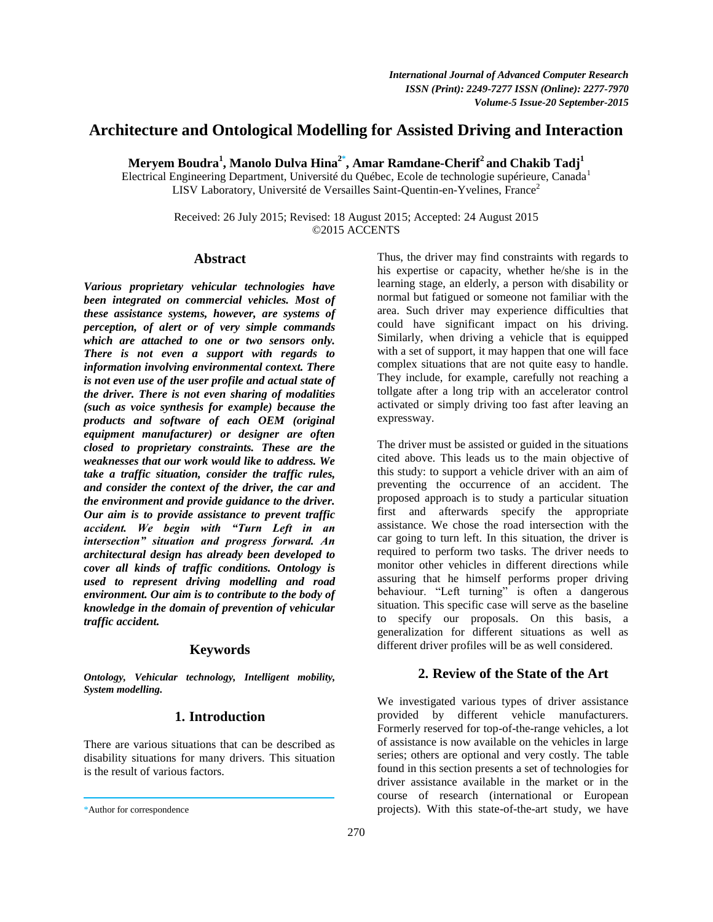# **Architecture and Ontological Modelling for Assisted Driving and Interaction**

**Meryem Boudra<sup>1</sup> , Manolo Dulva Hina2\* , Amar Ramdane-Cherif<sup>2</sup> and Chakib Tadj<sup>1</sup>**

Electrical Engineering Department, Université du Québec, Ecole de technologie supérieure, Canada<sup>1</sup> LISV Laboratory, Université de Versailles Saint-Quentin-en-Yvelines, France<sup>2</sup>

> Received: 26 July 2015; Revised: 18 August 2015; Accepted: 24 August 2015 ©2015 ACCENTS

## **Abstract**

*Various proprietary vehicular technologies have been integrated on commercial vehicles. Most of these assistance systems, however, are systems of perception, of alert or of very simple commands which are attached to one or two sensors only. There is not even a support with regards to information involving environmental context. There is not even use of the user profile and actual state of the driver. There is not even sharing of modalities (such as voice synthesis for example) because the products and software of each OEM (original equipment manufacturer) or designer are often closed to proprietary constraints. These are the weaknesses that our work would like to address. We take a traffic situation, consider the traffic rules, and consider the context of the driver, the car and the environment and provide guidance to the driver. Our aim is to provide assistance to prevent traffic accident. We begin with "Turn Left in an intersection" situation and progress forward. An architectural design has already been developed to cover all kinds of traffic conditions. Ontology is used to represent driving modelling and road environment. Our aim is to contribute to the body of knowledge in the domain of prevention of vehicular traffic accident.*

# **Keywords**

*Ontology, Vehicular technology, Intelligent mobility, System modelling.*

# **1. Introduction**

There are various situations that can be described as disability situations for many drivers. This situation is the result of various factors.

Thus, the driver may find constraints with regards to his expertise or capacity, whether he/she is in the learning stage, an elderly, a person with disability or normal but fatigued or someone not familiar with the area. Such driver may experience difficulties that could have significant impact on his driving. Similarly, when driving a vehicle that is equipped with a set of support, it may happen that one will face complex situations that are not quite easy to handle. They include, for example, carefully not reaching a tollgate after a long trip with an accelerator control activated or simply driving too fast after leaving an expressway.

The driver must be assisted or guided in the situations cited above. This leads us to the main objective of this study: to support a vehicle driver with an aim of preventing the occurrence of an accident. The proposed approach is to study a particular situation first and afterwards specify the appropriate assistance. We chose the road intersection with the car going to turn left. In this situation, the driver is required to perform two tasks. The driver needs to monitor other vehicles in different directions while assuring that he himself performs proper driving behaviour. "Left turning" is often a dangerous situation. This specific case will serve as the baseline to specify our proposals. On this basis, a generalization for different situations as well as different driver profiles will be as well considered.

# **2. Review of the State of the Art**

We investigated various types of driver assistance provided by different vehicle manufacturers. Formerly reserved for top-of-the-range vehicles, a lot of assistance is now available on the vehicles in large series; others are optional and very costly. The table found in this section presents a set of technologies for driver assistance available in the market or in the course of research (international or European projects). With this state-of-the-art study, we have

<sup>\*</sup>Author for correspondence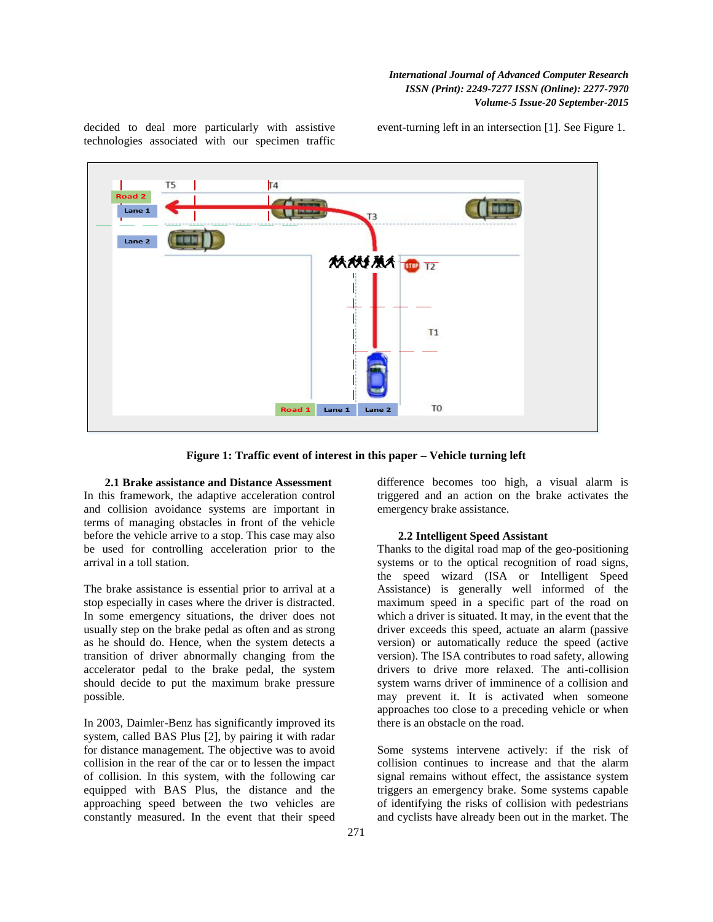decided to deal more particularly with assistive technologies associated with our specimen traffic event-turning left in an intersection [1]. See Figure 1.



**Figure 1: Traffic event of interest in this paper – Vehicle turning left**

**2.1 Brake assistance and Distance Assessment** In this framework, the adaptive acceleration control and collision avoidance systems are important in terms of managing obstacles in front of the vehicle before the vehicle arrive to a stop. This case may also be used for controlling acceleration prior to the arrival in a toll station.

The brake assistance is essential prior to arrival at a stop especially in cases where the driver is distracted. In some emergency situations, the driver does not usually step on the brake pedal as often and as strong as he should do. Hence, when the system detects a transition of driver abnormally changing from the accelerator pedal to the brake pedal, the system should decide to put the maximum brake pressure possible.

In 2003, Daimler-Benz has significantly improved its system, called BAS Plus [2], by pairing it with radar for distance management. The objective was to avoid collision in the rear of the car or to lessen the impact of collision. In this system, with the following car equipped with BAS Plus, the distance and the approaching speed between the two vehicles are constantly measured. In the event that their speed

difference becomes too high, a visual alarm is triggered and an action on the brake activates the emergency brake assistance.

#### **2.2 Intelligent Speed Assistant**

Thanks to the digital road map of the geo-positioning systems or to the optical recognition of road signs, the speed wizard (ISA or Intelligent Speed Assistance) is generally well informed of the maximum speed in a specific part of the road on which a driver is situated. It may, in the event that the driver exceeds this speed, actuate an alarm (passive version) or automatically reduce the speed (active version). The ISA contributes to road safety, allowing drivers to drive more relaxed. The anti-collision system warns driver of imminence of a collision and may prevent it. It is activated when someone approaches too close to a preceding vehicle or when there is an obstacle on the road.

Some systems intervene actively: if the risk of collision continues to increase and that the alarm signal remains without effect, the assistance system triggers an emergency brake. Some systems capable of identifying the risks of collision with pedestrians and cyclists have already been out in the market. The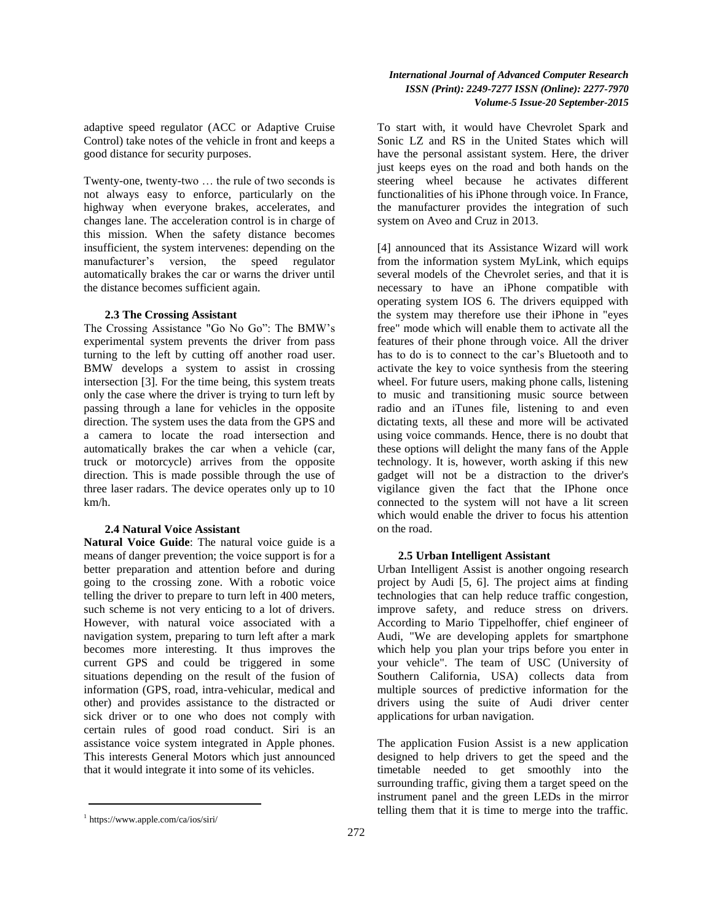adaptive speed regulator (ACC or Adaptive Cruise Control) take notes of the vehicle in front and keeps a good distance for security purposes.

Twenty-one, twenty-two … the rule of two seconds is not always easy to enforce, particularly on the highway when everyone brakes, accelerates, and changes lane. The acceleration control is in charge of this mission. When the safety distance becomes insufficient, the system intervenes: depending on the manufacturer"s version, the speed regulator automatically brakes the car or warns the driver until the distance becomes sufficient again.

## **2.3 The Crossing Assistant**

The Crossing Assistance "Go No Go": The BMW"s experimental system prevents the driver from pass turning to the left by cutting off another road user. BMW develops a system to assist in crossing intersection [3]. For the time being, this system treats only the case where the driver is trying to turn left by passing through a lane for vehicles in the opposite direction. The system uses the data from the GPS and a camera to locate the road intersection and automatically brakes the car when a vehicle (car, truck or motorcycle) arrives from the opposite direction. This is made possible through the use of three laser radars. The device operates only up to 10 km/h.

#### **2.4 Natural Voice Assistant**

**Natural Voice Guide**: The natural voice guide is a means of danger prevention; the voice support is for a better preparation and attention before and during going to the crossing zone. With a robotic voice telling the driver to prepare to turn left in 400 meters, such scheme is not very enticing to a lot of drivers. However, with natural voice associated with a navigation system, preparing to turn left after a mark becomes more interesting. It thus improves the current GPS and could be triggered in some situations depending on the result of the fusion of information (GPS, road, intra-vehicular, medical and other) and provides assistance to the distracted or sick driver or to one who does not comply with certain rules of good road conduct. Siri is an assistance voice system integrated in Apple phones. This interests General Motors which just announced that it would integrate it into some of its vehicles.

#### 1 https://www.apple.com/ca/ios/siri/

To start with, it would have Chevrolet Spark and Sonic LZ and RS in the United States which will have the personal assistant system. Here, the driver just keeps eyes on the road and both hands on the steering wheel because he activates different functionalities of his iPhone through voice. In France, the manufacturer provides the integration of such system on Aveo and Cruz in 2013.

[4] announced that its Assistance Wizard will work from the information system MyLink, which equips several models of the Chevrolet series, and that it is necessary to have an iPhone compatible with operating system IOS 6. The drivers equipped with the system may therefore use their iPhone in "eyes free" mode which will enable them to activate all the features of their phone through voice. All the driver has to do is to connect to the car's Bluetooth and to activate the key to voice synthesis from the steering wheel. For future users, making phone calls, listening to music and transitioning music source between radio and an iTunes file, listening to and even dictating texts, all these and more will be activated using voice commands. Hence, there is no doubt that these options will delight the many fans of the Apple technology. It is, however, worth asking if this new gadget will not be a distraction to the driver's vigilance given the fact that the IPhone once connected to the system will not have a lit screen which would enable the driver to focus his attention on the road.

## **2.5 Urban Intelligent Assistant**

Urban Intelligent Assist is another ongoing research project by Audi [5, 6]. The project aims at finding technologies that can help reduce traffic congestion, improve safety, and reduce stress on drivers. According to Mario Tippelhoffer, chief engineer of Audi, "We are developing applets for smartphone which help you plan your trips before you enter in your vehicle". The team of USC (University of Southern California, USA) collects data from multiple sources of predictive information for the drivers using the suite of Audi driver center applications for urban navigation.

The application Fusion Assist is a new application designed to help drivers to get the speed and the timetable needed to get smoothly into the surrounding traffic, giving them a target speed on the instrument panel and the green LEDs in the mirror telling them that it is time to merge into the traffic.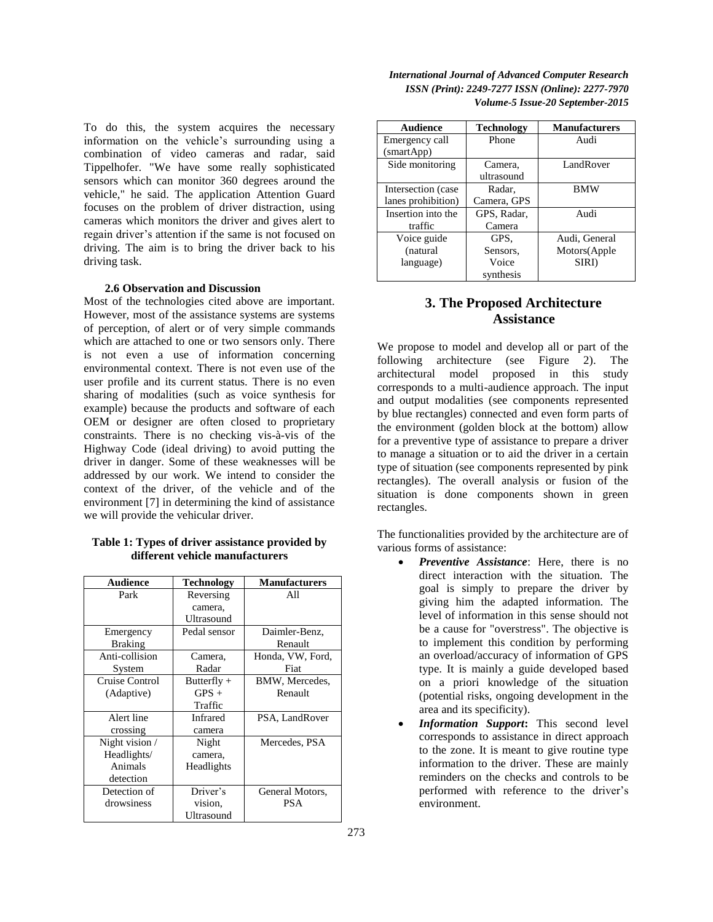To do this, the system acquires the necessary information on the vehicle"s surrounding using a combination of video cameras and radar, said Tippelhofer. "We have some really sophisticated sensors which can monitor 360 degrees around the vehicle," he said. The application Attention Guard focuses on the problem of driver distraction, using cameras which monitors the driver and gives alert to regain driver"s attention if the same is not focused on driving. The aim is to bring the driver back to his driving task.

#### **2.6 Observation and Discussion**

Most of the technologies cited above are important. However, most of the assistance systems are systems of perception, of alert or of very simple commands which are attached to one or two sensors only. There is not even a use of information concerning environmental context. There is not even use of the user profile and its current status. There is no even sharing of modalities (such as voice synthesis for example) because the products and software of each OEM or designer are often closed to proprietary constraints. There is no checking vis-à-vis of the Highway Code (ideal driving) to avoid putting the driver in danger. Some of these weaknesses will be addressed by our work. We intend to consider the context of the driver, of the vehicle and of the environment [7] in determining the kind of assistance we will provide the vehicular driver.

## **Table 1: Types of driver assistance provided by different vehicle manufacturers**

| <b>Audience</b> | <b>Technology</b> | <b>Manufacturers</b> |  |
|-----------------|-------------------|----------------------|--|
| Park            | Reversing         | All                  |  |
|                 | camera,           |                      |  |
|                 | Ultrasound        |                      |  |
| Emergency       | Pedal sensor      | Daimler-Benz,        |  |
| <b>Braking</b>  |                   | Renault              |  |
| Anti-collision  | Camera,           | Honda, VW, Ford,     |  |
| System          | Radar             | Fiat                 |  |
| Cruise Control  | Butterfly $+$     | BMW, Mercedes,       |  |
| (Adaptive)      | $GPS +$           | Renault              |  |
|                 | Traffic           |                      |  |
| Alert line      | <b>Infrared</b>   | PSA, LandRover       |  |
| crossing        | camera            |                      |  |
| Night vision /  | Night             | Mercedes, PSA        |  |
| Headlights/     | camera,           |                      |  |
| Animals         | Headlights        |                      |  |
| detection       |                   |                      |  |
| Detection of    | Driver's          | General Motors,      |  |
| drowsiness      | vision,           | PSA                  |  |
|                 | Ultrasound        |                      |  |

| <b>International Journal of Advanced Computer Research</b>     |
|----------------------------------------------------------------|
| <i>ISSN</i> (Print): 2249-7277 <i>ISSN</i> (Online): 2277-7970 |
| Volume-5 Issue-20 September-2015                               |

| Audience           | <b>Technology</b> | <b>Manufacturers</b> |  |
|--------------------|-------------------|----------------------|--|
| Emergency call     | Phone             | Audi                 |  |
| (smartApp)         |                   |                      |  |
| Side monitoring    | Camera,           | LandRover            |  |
|                    | ultrasound        |                      |  |
| Intersection (case | Radar.            | <b>BMW</b>           |  |
| lanes prohibition) | Camera, GPS       |                      |  |
| Insertion into the | GPS, Radar,       | Audi                 |  |
| traffic            | Camera            |                      |  |
| Voice guide        | GPS.              | Audi, General        |  |
| (natural           | Sensors.          | Motors(Apple         |  |
| language)          | Voice             | SIRI)                |  |
|                    | synthesis         |                      |  |

# **3. The Proposed Architecture Assistance**

We propose to model and develop all or part of the following architecture (see Figure 2). The architectural model proposed in this study corresponds to a multi-audience approach. The input and output modalities (see components represented by blue rectangles) connected and even form parts of the environment (golden block at the bottom) allow for a preventive type of assistance to prepare a driver to manage a situation or to aid the driver in a certain type of situation (see components represented by pink rectangles). The overall analysis or fusion of the situation is done components shown in green rectangles.

The functionalities provided by the architecture are of various forms of assistance:

- *Preventive Assistance*: Here, there is no direct interaction with the situation. The goal is simply to prepare the driver by giving him the adapted information. The level of information in this sense should not be a cause for "overstress". The objective is to implement this condition by performing an overload/accuracy of information of GPS type. It is mainly a guide developed based on a priori knowledge of the situation (potential risks, ongoing development in the area and its specificity).
- *Information Support***:** This second level corresponds to assistance in direct approach to the zone. It is meant to give routine type information to the driver. These are mainly reminders on the checks and controls to be performed with reference to the driver"s environment.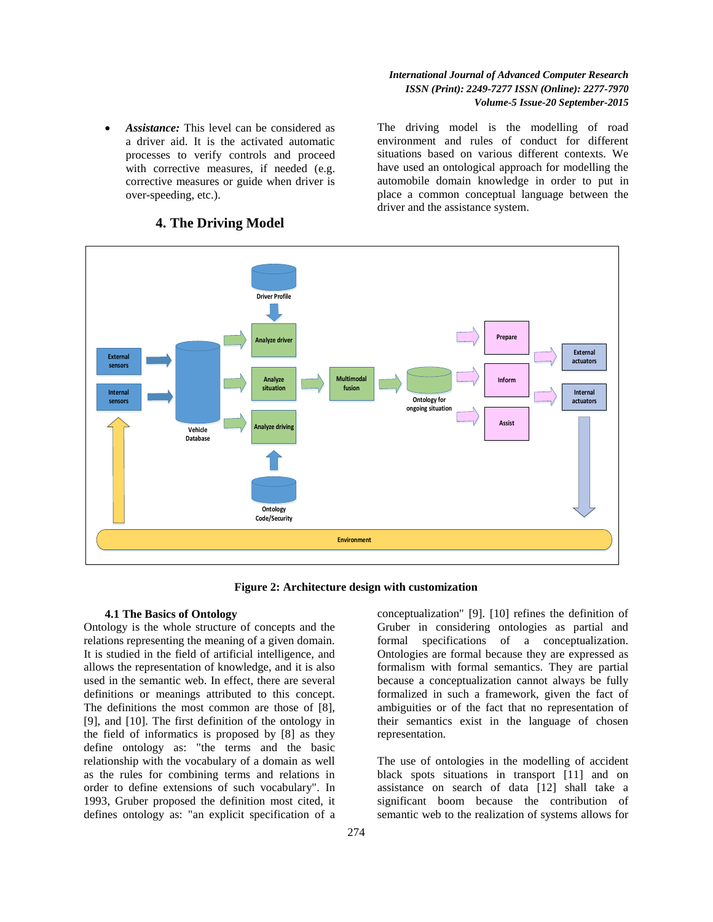*Assistance:* This level can be considered as a driver aid. It is the activated automatic processes to verify controls and proceed with corrective measures, if needed (e.g. corrective measures or guide when driver is over-speeding, etc.).

The driving model is the modelling of road environment and rules of conduct for different situations based on various different contexts. We have used an ontological approach for modelling the automobile domain knowledge in order to put in place a common conceptual language between the driver and the assistance system.



## **4. The Driving Model**

**Figure 2: Architecture design with customization**

#### **4.1 The Basics of Ontology**

Ontology is the whole structure of concepts and the relations representing the meaning of a given domain. It is studied in the field of artificial intelligence, and allows the representation of knowledge, and it is also used in the semantic web. In effect, there are several definitions or meanings attributed to this concept. The definitions the most common are those of [8], [9], and [10]. The first definition of the ontology in the field of informatics is proposed by [8] as they define ontology as: "the terms and the basic relationship with the vocabulary of a domain as well as the rules for combining terms and relations in order to define extensions of such vocabulary". In 1993, Gruber proposed the definition most cited, it defines ontology as: "an explicit specification of a conceptualization" [9]. [10] refines the definition of Gruber in considering ontologies as partial and formal specifications of a conceptualization. Ontologies are formal because they are expressed as formalism with formal semantics. They are partial because a conceptualization cannot always be fully formalized in such a framework, given the fact of ambiguities or of the fact that no representation of their semantics exist in the language of chosen representation.

The use of ontologies in the modelling of accident black spots situations in transport [11] and on assistance on search of data [12] shall take a significant boom because the contribution of semantic web to the realization of systems allows for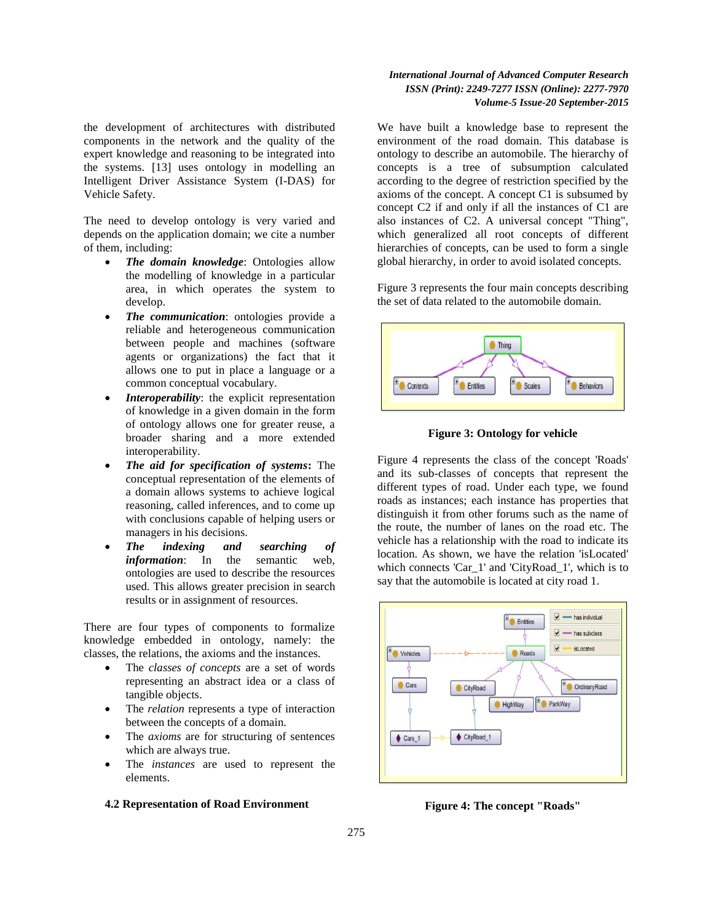the development of architectures with distributed components in the network and the quality of the expert knowledge and reasoning to be integrated into the systems. [13] uses ontology in modelling an Intelligent Driver Assistance System (I-DAS) for Vehicle Safety.

The need to develop ontology is very varied and depends on the application domain; we cite a number of them, including:

- *The domain knowledge*: Ontologies allow the modelling of knowledge in a particular area, in which operates the system to develop.
- *The communication*: ontologies provide a reliable and heterogeneous communication between people and machines (software agents or organizations) the fact that it allows one to put in place a language or a common conceptual vocabulary.
- *Interoperability*: the explicit representation of knowledge in a given domain in the form of ontology allows one for greater reuse, a broader sharing and a more extended interoperability.
- *The aid for specification of systems***:** The conceptual representation of the elements of a domain allows systems to achieve logical reasoning, called inferences, and to come up with conclusions capable of helping users or managers in his decisions.
- *The indexing and searching of information*: In the semantic web, ontologies are used to describe the resources used. This allows greater precision in search results or in assignment of resources.

There are four types of components to formalize knowledge embedded in ontology, namely: the classes, the relations, the axioms and the instances.

- The *classes of concepts* are a set of words representing an abstract idea or a class of tangible objects.
- The *relation* represents a type of interaction between the concepts of a domain.
- The *axioms* are for structuring of sentences which are always true.
- The *instances* are used to represent the elements.

#### **4.2 Representation of Road Environment**

## *International Journal of Advanced Computer Research ISSN (Print): 2249-7277 ISSN (Online): 2277-7970 Volume-5 Issue-20 September-2015*

We have built a knowledge base to represent the environment of the road domain. This database is ontology to describe an automobile. The hierarchy of concepts is a tree of subsumption calculated according to the degree of restriction specified by the axioms of the concept. A concept C1 is subsumed by concept C2 if and only if all the instances of C1 are also instances of C2. A universal concept "Thing", which generalized all root concepts of different hierarchies of concepts, can be used to form a single global hierarchy, in order to avoid isolated concepts.

Figure 3 represents the four main concepts describing the set of data related to the automobile domain.



**Figure 3: Ontology for vehicle**

Figure 4 represents the class of the concept 'Roads' and its sub-classes of concepts that represent the different types of road. Under each type, we found roads as instances; each instance has properties that distinguish it from other forums such as the name of the route, the number of lanes on the road etc. The vehicle has a relationship with the road to indicate its location. As shown, we have the relation 'isLocated' which connects 'Car\_1' and 'CityRoad\_1', which is to say that the automobile is located at city road 1.



**Figure 4: The concept "Roads"**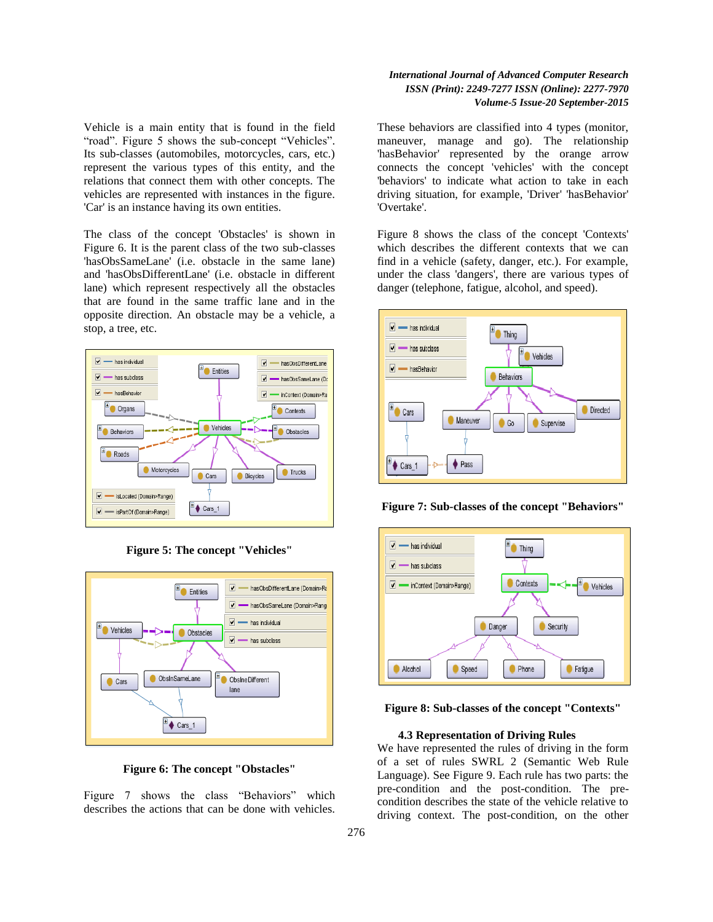Vehicle is a main entity that is found in the field "road". Figure 5 shows the sub-concept "Vehicles". Its sub-classes (automobiles, motorcycles, cars, etc.) represent the various types of this entity, and the relations that connect them with other concepts. The vehicles are represented with instances in the figure. 'Car' is an instance having its own entities.

The class of the concept 'Obstacles' is shown in Figure 6. It is the parent class of the two sub-classes 'hasObsSameLane' (i.e. obstacle in the same lane) and 'hasObsDifferentLane' (i.e. obstacle in different lane) which represent respectively all the obstacles that are found in the same traffic lane and in the opposite direction. An obstacle may be a vehicle, a stop, a tree, etc.



**Figure 5: The concept "Vehicles"**





Figure 7 shows the class "Behaviors" which describes the actions that can be done with vehicles.

## *International Journal of Advanced Computer Research ISSN (Print): 2249-7277 ISSN (Online): 2277-7970 Volume-5 Issue-20 September-2015*

These behaviors are classified into 4 types (monitor, maneuver, manage and go). The relationship 'hasBehavior' represented by the orange arrow connects the concept 'vehicles' with the concept 'behaviors' to indicate what action to take in each driving situation, for example, 'Driver' 'hasBehavior' 'Overtake'.

Figure 8 shows the class of the concept 'Contexts' which describes the different contexts that we can find in a vehicle (safety, danger, etc.). For example, under the class 'dangers', there are various types of danger (telephone, fatigue, alcohol, and speed).



**Figure 7: Sub-classes of the concept "Behaviors"**



**Figure 8: Sub-classes of the concept "Contexts"**

#### **4.3 Representation of Driving Rules**

We have represented the rules of driving in the form of a set of rules SWRL 2 (Semantic Web Rule Language). See Figure 9. Each rule has two parts: the pre-condition and the post-condition. The precondition describes the state of the vehicle relative to driving context. The post-condition, on the other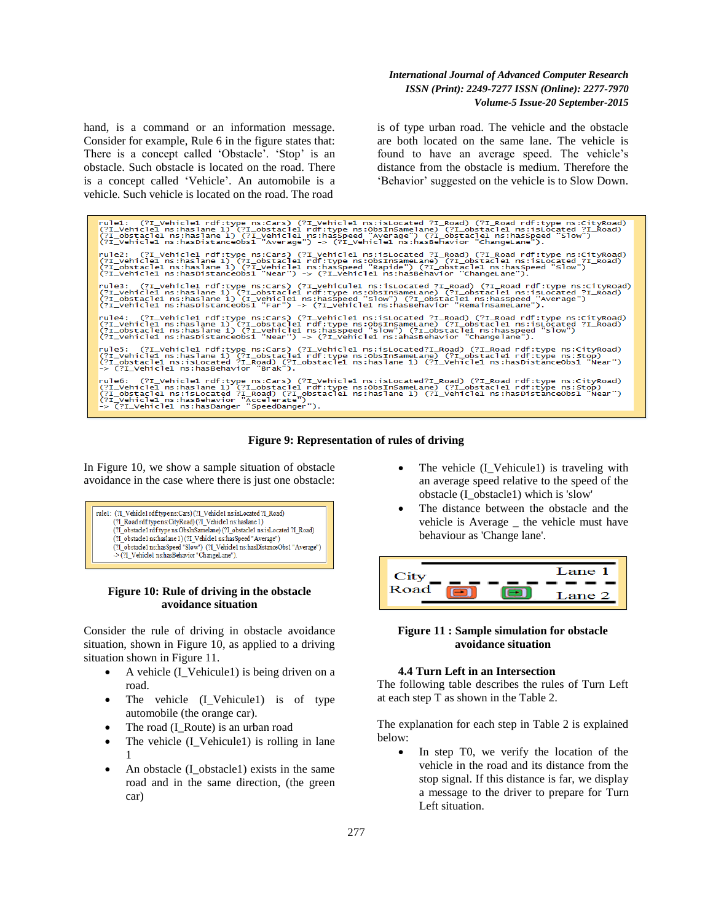hand, is a command or an information message. Consider for example, Rule 6 in the figure states that: There is a concept called 'Obstacle'. 'Stop' is an obstacle. Such obstacle is located on the road. There is a concept called "Vehicle". An automobile is a vehicle. Such vehicle is located on the road. The road

is of type urban road. The vehicle and the obstacle are both located on the same lane. The vehicle is found to have an average speed. The vehicle's distance from the obstacle is medium. Therefore the "Behavior" suggested on the vehicle is to Slow Down.

rule1: (?I\_Vehicle1 rdf:type ns:Cars) (?I\_Vehicle1 ns:isLocated ?I\_Road) (?I\_Road rdf:type ns:CityRoad)<br>(?I\_Vehicle1 ns:haslane 1) (?I\_obstacle1 rdf:type ns:ObsInSamelane) (?I\_obstacle1 ns:isLocated ?I\_Road)<br>(?I\_obstacle1 rule2: (?I\_Vehicle1 rdf:type ns:Cars) (?I\_Vehicle1 ns:isLocated ?I\_Road) (?I\_Road rdf:type ns:CityRoad)<br>(?I\_Vehicle1 ns:haslane 1) (?I\_obstacle1 rdf:type ns:ObsInSameLane) (?I\_obstacle1 ns:isLocated ?I\_Road)<br>(?I\_obstacle1 .<br>rule3: (?I\_vehicle1 rdf:type ns:Cars) (?I\_vehicule1 ns:isLocated ?I\_Road) (?I\_Road rdf:type ns:CityRoad)<br>(?I\_vehicle1 ns:haslane 1) (?I\_obstacle1 rdf:type ns:ObsInSameLane) (?I\_obstacle1 ns:isLocated ?I\_Road)<br>(?I\_obsta rule4: (?I\_Vehicle1 rdf:type ns:Cars) (?I\_Vehicle1 ns:isLocated ?I\_Road) (?I\_Road rdf:type ns:CityRoad)<br>(?I\_Vehicle1 ns:haslane 1) (?I\_obstacle1 rdf:type ns:ObsInSameLane) (?I\_obstacle1 ns:isLocated ?I\_Road)<br>(?I\_obstacle1 view. State of the state of the state of the state of the state of the state of the state of the state of the c<br>(?I\_vehicle1 ns:haslane 1) (?I\_obstacle1 rdf:type ns:obsInSameLane) (?I\_Road rdf:type ns:Stop)<br>(?I\_obstacle1 n rule6: (?I\_vehicle1 rdf:type ns:Cars) (?I\_vehicle1 ns:isLocated?I\_Road) (?I\_Road rdf:type ns:CityRoad)<br>(?I\_vehicle1 ns:haslane 1) (?I\_obstacle1 rdf:type ns:ObsInSameLane) (?I\_obstacle1 rdf:type ns:Stop)<br>(?I\_obstacle1 ns:ha

#### **Figure 9: Representation of rules of driving**

In Figure 10, we show a sample situation of obstacle avoidance in the case where there is just one obstacle:



#### **Figure 10: Rule of driving in the obstacle avoidance situation**

Consider the rule of driving in obstacle avoidance situation, shown in Figure 10, as applied to a driving situation shown in Figure 11.

- A vehicle (I\_Vehicule1) is being driven on a road.
- The vehicle (I\_Vehicule1) is of type automobile (the orange car).
- The road (I\_Route) is an urban road
- The vehicle (I\_Vehicule1) is rolling in lane 1
- An obstacle (I\_obstacle1) exists in the same road and in the same direction, (the green car)
- The vehicle (I\_Vehicule1) is traveling with an average speed relative to the speed of the obstacle (I\_obstacle1) which is 'slow'
- The distance between the obstacle and the vehicle is Average \_ the vehicle must have behaviour as 'Change lane'.



## **Figure 11 : Sample simulation for obstacle avoidance situation**

## **4.4 Turn Left in an Intersection**

The following table describes the rules of Turn Left at each step T as shown in the Table 2.

The explanation for each step in Table 2 is explained below:

 In step T0, we verify the location of the vehicle in the road and its distance from the stop signal. If this distance is far, we display a message to the driver to prepare for Turn Left situation.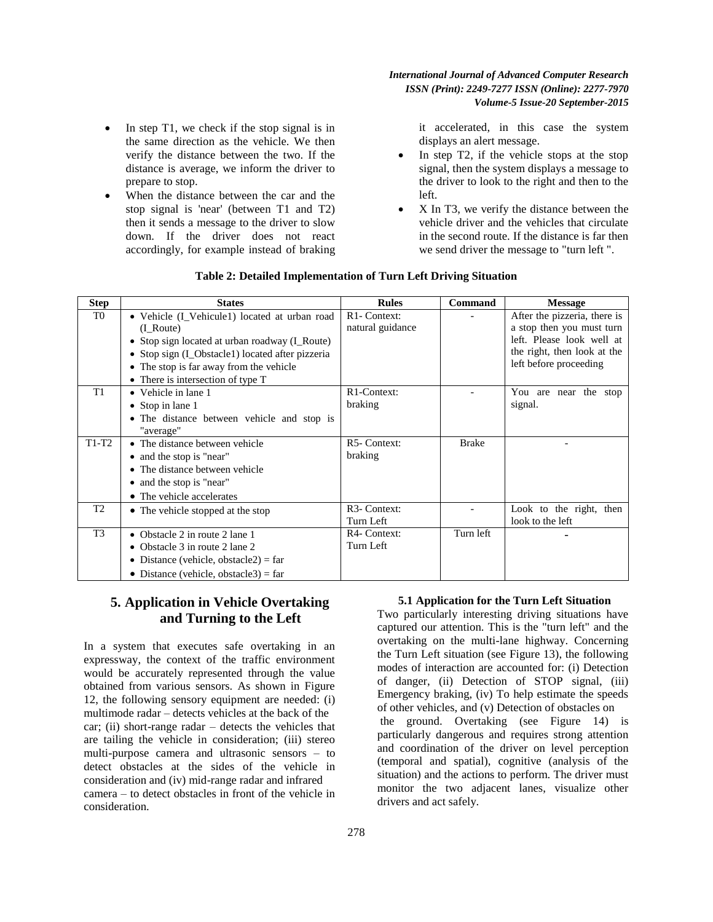In step T1, we check if the stop signal is in the same direction as the vehicle. We then verify the distance between the two. If the distance is average, we inform the driver to prepare to stop.

 When the distance between the car and the stop signal is 'near' (between T1 and T2) then it sends a message to the driver to slow down. If the driver does not react accordingly, for example instead of braking it accelerated, in this case the system displays an alert message.

- In step T2, if the vehicle stops at the stop signal, then the system displays a message to the driver to look to the right and then to the left.
- X In T3, we verify the distance between the vehicle driver and the vehicles that circulate in the second route. If the distance is far then we send driver the message to "turn left ".

| <b>Step</b>    | <b>States</b>                                                                                                                                                                                             | <b>Rules</b>                                  | Command      | <b>Message</b>                                                                                                                                  |
|----------------|-----------------------------------------------------------------------------------------------------------------------------------------------------------------------------------------------------------|-----------------------------------------------|--------------|-------------------------------------------------------------------------------------------------------------------------------------------------|
| T0             | • Vehicle (I_Vehicule1) located at urban road<br>(I Route)<br>• Stop sign located at urban roadway (I Route)<br>• Stop sign (I_Obstacle1) located after pizzeria<br>The stop is far away from the vehicle | R <sub>1</sub> - Context:<br>natural guidance |              | After the pizzeria, there is<br>a stop then you must turn<br>left. Please look well at<br>the right, then look at the<br>left before proceeding |
|                | • There is intersection of type T                                                                                                                                                                         |                                               |              |                                                                                                                                                 |
| T1             | • Vehicle in lane 1<br>• Stop in lane $1$<br>The distance between vehicle and stop is<br>"average"                                                                                                        | R1-Context:<br>braking                        |              | You are near the stop<br>signal.                                                                                                                |
| $T1-T2$        | • The distance between vehicle<br>• and the stop is "near"<br>• The distance between vehicle<br>and the stop is "near"<br>• The vehicle accelerates                                                       | R5-Context:<br>braking                        | <b>Brake</b> |                                                                                                                                                 |
| T2             | • The vehicle stopped at the stop                                                                                                                                                                         | R <sub>3</sub> - Context:<br>Turn Left        |              | Look to the right, then<br>look to the left                                                                                                     |
| T <sub>3</sub> | • Obstacle 2 in route 2 lane 1<br>• Obstacle 3 in route 2 lane 2<br>• Distance (vehicle, obstacle2) = far<br>• Distance (vehicle, obstacle3) = far                                                        | R <sub>4</sub> -Context:<br>Turn Left         | Turn left    |                                                                                                                                                 |

## **Table 2: Detailed Implementation of Turn Left Driving Situation**

# **5. Application in Vehicle Overtaking and Turning to the Left**

In a system that executes safe overtaking in an expressway, the context of the traffic environment would be accurately represented through the value obtained from various sensors. As shown in Figure 12, the following sensory equipment are needed: (i) multimode radar – detects vehicles at the back of the car; (ii) short-range radar – detects the vehicles that are tailing the vehicle in consideration; (iii) stereo multi-purpose camera and ultrasonic sensors – to detect obstacles at the sides of the vehicle in consideration and (iv) mid-range radar and infrared camera – to detect obstacles in front of the vehicle in consideration.

## **5.1 Application for the Turn Left Situation**

Two particularly interesting driving situations have captured our attention. This is the "turn left" and the overtaking on the multi-lane highway. Concerning the Turn Left situation (see Figure 13), the following modes of interaction are accounted for: (i) Detection of danger, (ii) Detection of STOP signal, (iii) Emergency braking, (iv) To help estimate the speeds of other vehicles, and (v) Detection of obstacles on the ground. Overtaking (see Figure 14) is particularly dangerous and requires strong attention and coordination of the driver on level perception (temporal and spatial), cognitive (analysis of the situation) and the actions to perform. The driver must monitor the two adjacent lanes, visualize other drivers and act safely.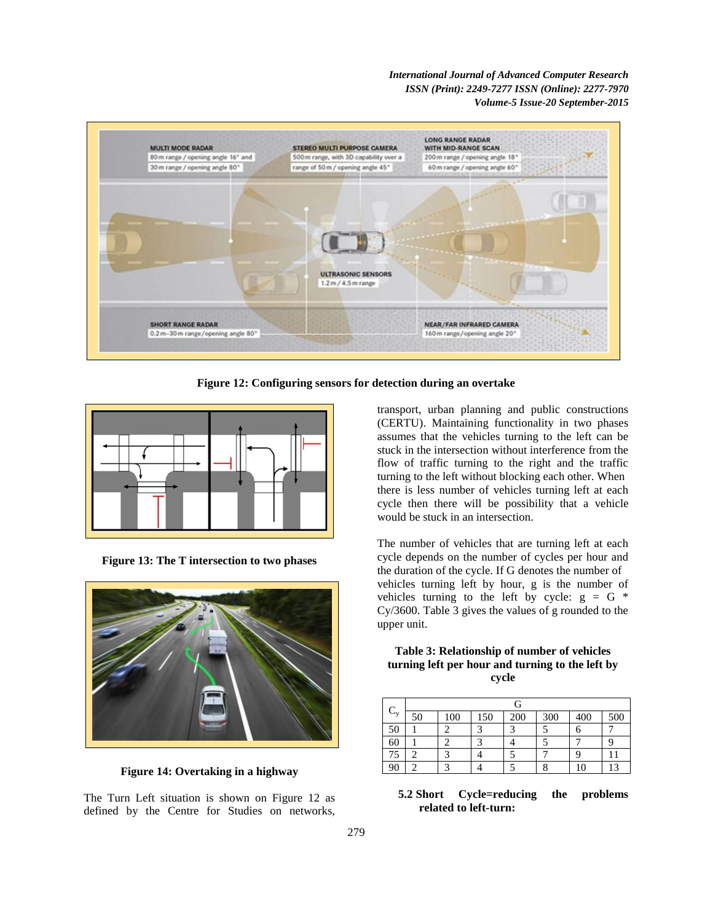

**Figure 12: Configuring sensors for detection during an overtake**



**Figure 13: The T intersection to two phases**



**Figure 14: Overtaking in a highway**

The Turn Left situation is shown on Figure 12 as defined by the Centre for Studies on networks, transport, urban planning and public constructions (CERTU). Maintaining functionality in two phases assumes that the vehicles turning to the left can be stuck in the intersection without interference from the flow of traffic turning to the right and the traffic turning to the left without blocking each other. When there is less number of vehicles turning left at each cycle then there will be possibility that a vehicle would be stuck in an intersection.

The number of vehicles that are turning left at each cycle depends on the number of cycles per hour and the duration of the cycle. If G denotes the number of vehicles turning left by hour, g is the number of vehicles turning to the left by cycle:  $g = G *$ Cy/3600. Table 3 gives the values of g rounded to the upper unit.

**Table 3: Relationship of number of vehicles turning left per hour and turning to the left by cycle**

|         | G  |     |     |     |     |     |         |
|---------|----|-----|-----|-----|-----|-----|---------|
| $C_{v}$ | 50 | 100 | 150 | 200 | 300 | 400 | 500     |
| 50      |    |     |     |     |     |     |         |
| 60      |    |     |     |     |     |     |         |
| 75      |    |     |     |     |     |     |         |
| 90      |    |     |     |     |     | 10  | $\circ$ |

## **5.2 Short Cycle=reducing the problems related to left-turn:**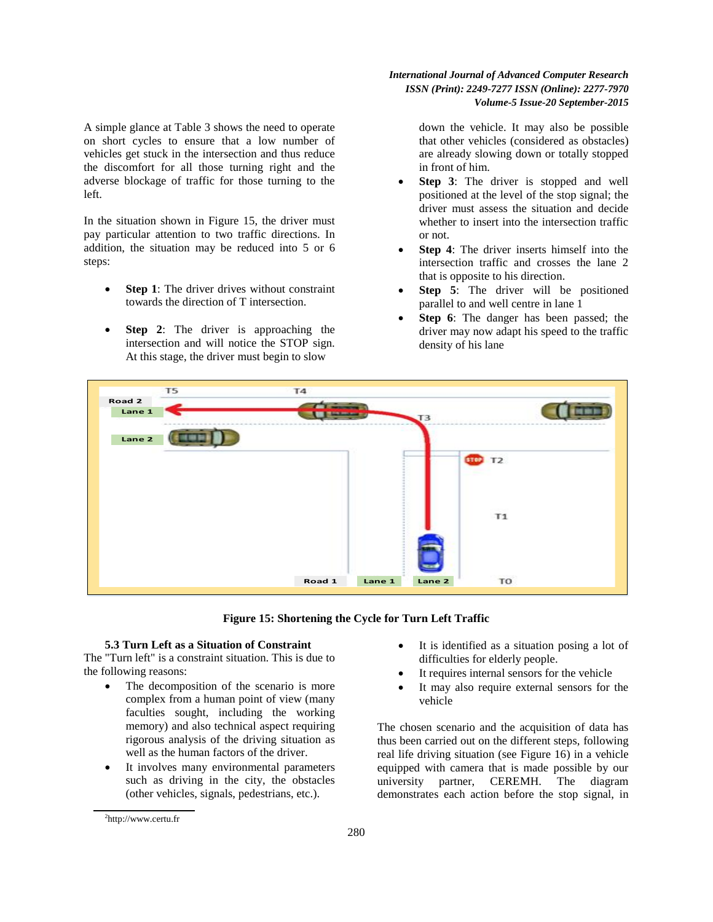A simple glance at Table 3 shows the need to operate on short cycles to ensure that a low number of vehicles get stuck in the intersection and thus reduce the discomfort for all those turning right and the adverse blockage of traffic for those turning to the left.

In the situation shown in Figure 15, the driver must pay particular attention to two traffic directions. In addition, the situation may be reduced into 5 or 6 steps:

- **Step 1**: The driver drives without constraint towards the direction of T intersection.
- **Step 2**: The driver is approaching the intersection and will notice the STOP sign. At this stage, the driver must begin to slow

## *International Journal of Advanced Computer Research ISSN (Print): 2249-7277 ISSN (Online): 2277-7970 Volume-5 Issue-20 September-2015*

down the vehicle. It may also be possible that other vehicles (considered as obstacles) are already slowing down or totally stopped in front of him.

- **Step 3**: The driver is stopped and well positioned at the level of the stop signal; the driver must assess the situation and decide whether to insert into the intersection traffic or not.
- **Step 4**: The driver inserts himself into the intersection traffic and crosses the lane 2 that is opposite to his direction.
- **Step 5**: The driver will be positioned parallel to and well centre in lane 1
- **Step 6**: The danger has been passed; the driver may now adapt his speed to the traffic density of his lane



**Figure 15: Shortening the Cycle for Turn Left Traffic**

#### **5.3 Turn Left as a Situation of Constraint**

The "Turn left" is a constraint situation. This is due to the following reasons:

- The decomposition of the scenario is more complex from a human point of view (many faculties sought, including the working memory) and also technical aspect requiring rigorous analysis of the driving situation as well as the human factors of the driver.
- It involves many environmental parameters such as driving in the city, the obstacles (other vehicles, signals, pedestrians, etc.).
- It requires internal sensors for the vehicle
- It may also require external sensors for the vehicle

The chosen scenario and the acquisition of data has thus been carried out on the different steps, following real life driving situation (see Figure 16) in a vehicle equipped with camera that is made possible by our university partner, CEREMH. The diagram demonstrates each action before the stop signal, in

It is identified as a situation posing a lot of difficulties for elderly people.

<sup>&</sup>lt;sup>2</sup>http://www.certu.fr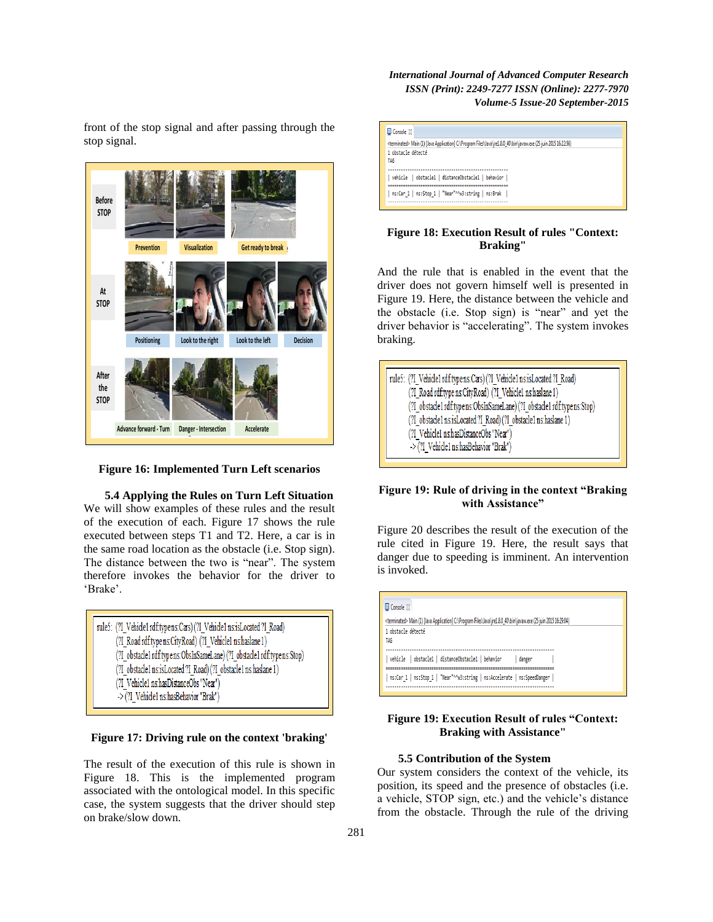front of the stop signal and after passing through the stop signal.



**Figure 16: Implemented Turn Left scenarios**

**5.4 Applying the Rules on Turn Left Situation** We will show examples of these rules and the result of the execution of each. Figure 17 shows the rule executed between steps T1 and T2. Here, a car is in the same road location as the obstacle (i.e. Stop sign). The distance between the two is "near". The system therefore invokes the behavior for the driver to 'Brake'.

| rule5: (?I Vehicle1 rdf:typens:Cars) (?I_Vehicle1 ns:isLocated ?I_Road) |
|-------------------------------------------------------------------------|
| (?I Road rdf:type ns:CityRoad) (?I_Vehicle1 ns:haslane 1)               |
| (?I obstacle1 rdf:typens:ObsInSameLane) (?I obstacle1 rdf:typens:Stop)  |
| (?I obstacle1 ns:isLocated ?I Road) (?I obstacle1 ns:haslane 1)         |
| (?I Vehicle1 nshasDistanceObs "Near")                                   |
| -> (?I Vehicle1 ns:hasBehavior "Brak")                                  |

**Figure 17: Driving rule on the context 'braking'**

The result of the execution of this rule is shown in Figure 18. This is the implemented program associated with the ontological model. In this specific case, the system suggests that the driver should step on brake/slow down.



## **Figure 18: Execution Result of rules "Context: Braking"**

And the rule that is enabled in the event that the driver does not govern himself well is presented in Figure 19. Here, the distance between the vehicle and the obstacle (i.e. Stop sign) is "near" and yet the driver behavior is "accelerating". The system invokes braking.



## **Figure 19: Rule of driving in the context "Braking with Assistance"**

Figure 20 describes the result of the execution of the rule cited in Figure 19. Here, the result says that danger due to speeding is imminent. An intervention is invoked.

| <terminated> Main (1) [Java Application] C:\Program Files\Java\jre1.8.0_40\bin\javaw.exe (25 juin 2015 16:29:04)<br/>1 obstacle détecté<br/>TAG<br/>vehicle   obstacle1   distanceObstacle1   behavior<br/>danger<br/>ns:Car 1   ns:Stop 1   "Near"^^w3:string   ns:Accelerate   ns:SpeedDanger</terminated> | $\boxplus$ Console $\boxtimes$ |
|--------------------------------------------------------------------------------------------------------------------------------------------------------------------------------------------------------------------------------------------------------------------------------------------------------------|--------------------------------|
|                                                                                                                                                                                                                                                                                                              |                                |
|                                                                                                                                                                                                                                                                                                              |                                |
|                                                                                                                                                                                                                                                                                                              |                                |
|                                                                                                                                                                                                                                                                                                              |                                |

## **Figure 19: Execution Result of rules "Context: Braking with Assistance"**

#### **5.5 Contribution of the System**

Our system considers the context of the vehicle, its position, its speed and the presence of obstacles (i.e. a vehicle, STOP sign, etc.) and the vehicle"s distance from the obstacle. Through the rule of the driving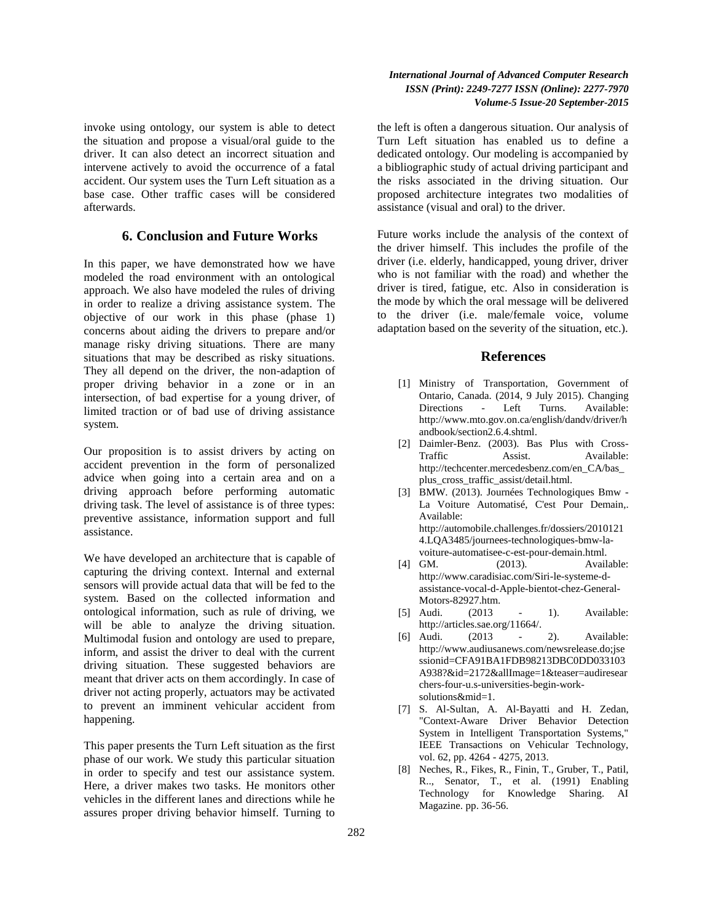invoke using ontology, our system is able to detect the situation and propose a visual/oral guide to the driver. It can also detect an incorrect situation and intervene actively to avoid the occurrence of a fatal accident. Our system uses the Turn Left situation as a base case. Other traffic cases will be considered afterwards.

## **6. Conclusion and Future Works**

In this paper, we have demonstrated how we have modeled the road environment with an ontological approach. We also have modeled the rules of driving in order to realize a driving assistance system. The objective of our work in this phase (phase 1) concerns about aiding the drivers to prepare and/or manage risky driving situations. There are many situations that may be described as risky situations. They all depend on the driver, the non-adaption of proper driving behavior in a zone or in an intersection, of bad expertise for a young driver, of limited traction or of bad use of driving assistance system.

Our proposition is to assist drivers by acting on accident prevention in the form of personalized advice when going into a certain area and on a driving approach before performing automatic driving task. The level of assistance is of three types: preventive assistance, information support and full assistance.

We have developed an architecture that is capable of capturing the driving context. Internal and external sensors will provide actual data that will be fed to the system. Based on the collected information and ontological information, such as rule of driving, we will be able to analyze the driving situation. Multimodal fusion and ontology are used to prepare, inform, and assist the driver to deal with the current driving situation. These suggested behaviors are meant that driver acts on them accordingly. In case of driver not acting properly, actuators may be activated to prevent an imminent vehicular accident from happening.

This paper presents the Turn Left situation as the first phase of our work. We study this particular situation in order to specify and test our assistance system. Here, a driver makes two tasks. He monitors other vehicles in the different lanes and directions while he assures proper driving behavior himself. Turning to

## *International Journal of Advanced Computer Research ISSN (Print): 2249-7277 ISSN (Online): 2277-7970 Volume-5 Issue-20 September-2015*

the left is often a dangerous situation. Our analysis of Turn Left situation has enabled us to define a dedicated ontology. Our modeling is accompanied by a bibliographic study of actual driving participant and the risks associated in the driving situation. Our proposed architecture integrates two modalities of assistance (visual and oral) to the driver.

Future works include the analysis of the context of the driver himself. This includes the profile of the driver (i.e. elderly, handicapped, young driver, driver who is not familiar with the road) and whether the driver is tired, fatigue, etc. Also in consideration is the mode by which the oral message will be delivered to the driver (i.e. male/female voice, volume adaptation based on the severity of the situation, etc.).

#### **References**

- [1] Ministry of Transportation, Government of Ontario, Canada. (2014, 9 July 2015). Changing Directions - Left Turns. Available: [http://www.mto.gov.on.ca/english/dandv/driver/h](http://www.mto.gov.on.ca/english/dandv/driver/handbook/section2.6.4.shtml) [andbook/section2.6.4.shtml.](http://www.mto.gov.on.ca/english/dandv/driver/handbook/section2.6.4.shtml)
- [2] Daimler-Benz. (2003). Bas Plus with Cross-Traffic Assist. Available: http://techcenter.mercedesbenz.com/en\_CA/bas\_ plus\_cross\_traffic\_assist/detail.html.
- [3] BMW. (2013). Journées Technologiques Bmw La Voiture Automatisé, C'est Pour Demain,. Available: http://automobile.challenges.fr/dossiers/2010121 4.LQA3485/journees-technologiques-bmw-lavoiture-automatisee-c-est-pour-demain.html.
- [4] GM. (2013). Available: http://www.caradisiac.com/Siri-le-systeme-dassistance-vocal-d-Apple-bientot-chez-General-Motors-82927.htm.
- [5] Audi. (2013 1). Available: http://articles.sae.org/11664/.
- [6] Audi. (2013 2). Available: http://www.audiusanews.com/newsrelease.do;jse ssionid=CFA91BA1FDB98213DBC0DD033103 A938?&id=2172&allImage=1&teaser=audiresear chers-four-u.s-universities-begin-worksolutions&mid=1.
- [7] S. Al-Sultan, A. Al-Bayatti and H. Zedan, "Context-Aware Driver Behavior Detection System in Intelligent Transportation Systems," IEEE Transactions on Vehicular Technology, vol. 62, pp. 4264 - 4275, 2013.
- [8] Neches, R., Fikes, R., Finin, T., Gruber, T., Patil, R.., Senator, T., et al. (1991) Enabling Technology for Knowledge Sharing. AI Magazine. pp. 36-56.